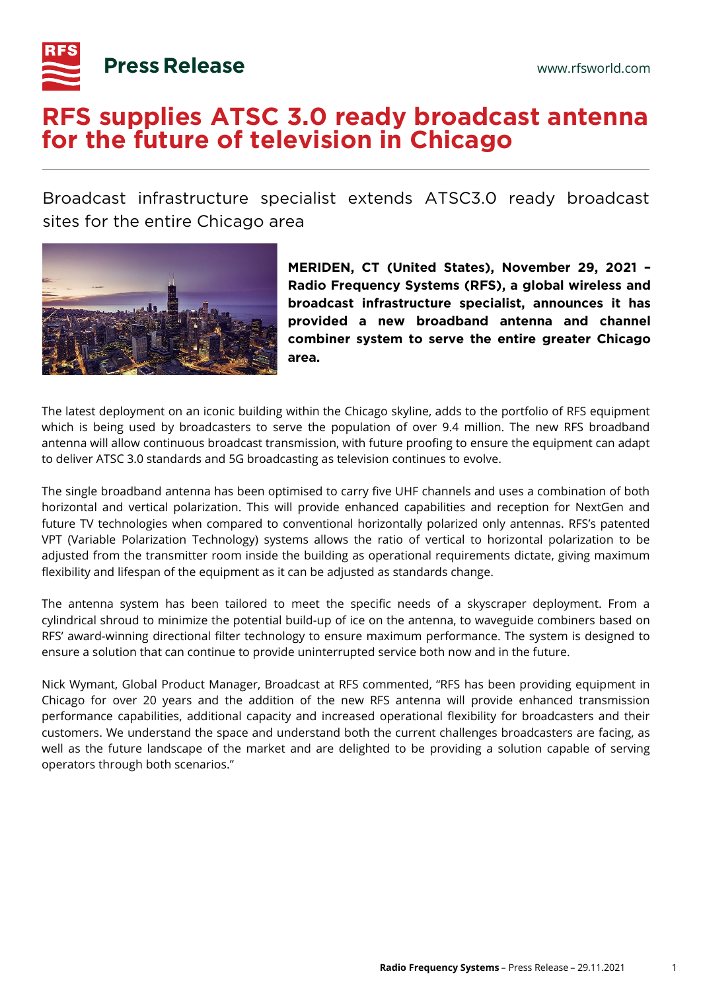

## **RFS supplies ATSC 3.0 ready broadcast antenna for the future of television in Chicago**

Broadcast infrastructure specialist extends ATSC3.0 ready broadcast sites for the entire Chicago area



**MERIDEN, CT (United States), November 29, 2021 – Radio Frequency Systems (RFS), a global wireless and broadcast infrastructure specialist, announces it has provided a new broadband antenna and channel combiner system to serve the entire greater Chicago area.**

The latest deployment on an iconic building within the Chicago skyline, adds to the portfolio of RFS equipment which is being used by broadcasters to serve the population of over 9.4 million. The new RFS broadband antenna will allow continuous broadcast transmission, with future proofing to ensure the equipment can adapt to deliver ATSC 3.0 standards and 5G broadcasting as television continues to evolve.

The single broadband antenna has been optimised to carry five UHF channels and uses a combination of both horizontal and vertical polarization. This will provide enhanced capabilities and reception for NextGen and future TV technologies when compared to conventional horizontally polarized only antennas. RFS's patented VPT (Variable Polarization Technology) systems allows the ratio of vertical to horizontal polarization to be adjusted from the transmitter room inside the building as operational requirements dictate, giving maximum flexibility and lifespan of the equipment as it can be adjusted as standards change.

The antenna system has been tailored to meet the specific needs of a skyscraper deployment. From a cylindrical shroud to minimize the potential build-up of ice on the antenna, to waveguide combiners based on RFS' award-winning directional filter technology to ensure maximum performance. The system is designed to ensure a solution that can continue to provide uninterrupted service both now and in the future.

Nick Wymant, Global Product Manager, Broadcast at RFS commented, "RFS has been providing equipment in Chicago for over 20 years and the addition of the new RFS antenna will provide enhanced transmission performance capabilities, additional capacity and increased operational flexibility for broadcasters and their customers. We understand the space and understand both the current challenges broadcasters are facing, as well as the future landscape of the market and are delighted to be providing a solution capable of serving operators through both scenarios."